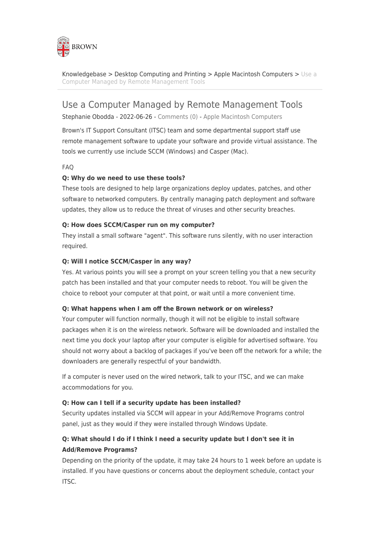

[Knowledgebase](https://ithelp.brown.edu/kb) > [Desktop Computing and Printing](https://ithelp.brown.edu/kb/desktop-computing-and-printing) > [Apple Macintosh Computers](https://ithelp.brown.edu/kb/apple-macintosh-computers) > [Use a](https://ithelp.brown.edu/kb/articles/use-a-computer-managed-by-remote-management-tools) [Computer Managed by Remote Management Tools](https://ithelp.brown.edu/kb/articles/use-a-computer-managed-by-remote-management-tools)

# Use a Computer Managed by Remote Management Tools

Stephanie Obodda - 2022-06-26 - [Comments \(0\)](#page--1-0) - [Apple Macintosh Computers](https://ithelp.brown.edu/kb/apple-macintosh-computers)

Brown's IT Support Consultant (ITSC) team and some departmental support staff use remote management software to update your software and provide virtual assistance. The tools we currently use include SCCM (Windows) and Casper (Mac).

FAQ

## **Q: Why do we need to use these tools?**

These tools are designed to help large organizations deploy updates, patches, and other software to networked computers. By centrally managing patch deployment and software updates, they allow us to reduce the threat of viruses and other security breaches.

#### **Q: How does SCCM/Casper run on my computer?**

They install a small software "agent". This software runs silently, with no user interaction required.

#### **Q: Will I notice SCCM/Casper in any way?**

Yes. At various points you will see a prompt on your screen telling you that a new security patch has been installed and that your computer needs to reboot. You will be given the choice to reboot your computer at that point, or wait until a more convenient time.

#### **Q: What happens when I am off the Brown network or on wireless?**

Your computer will function normally, though it will not be eligible to install software packages when it is on the wireless network. Software will be downloaded and installed the next time you dock your laptop after your computer is eligible for advertised software. You should not worry about a backlog of packages if you've been off the network for a while; the downloaders are generally respectful of your bandwidth.

If a computer is never used on the wired network, talk to your ITSC, and we can make accommodations for you.

#### **Q: How can I tell if a security update has been installed?**

Security updates installed via SCCM will appear in your Add/Remove Programs control panel, just as they would if they were installed through Windows Update.

## **Q: What should I do if I think I need a security update but I don't see it in Add/Remove Programs?**

Depending on the priority of the update, it may take 24 hours to 1 week before an update is installed. If you have questions or concerns about the deployment schedule, contact your ITSC.